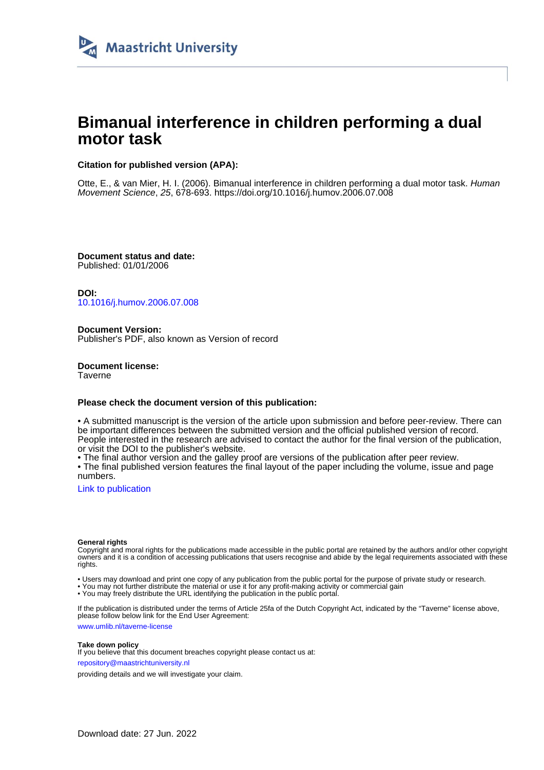

# **Bimanual interference in children performing a dual motor task**

# **Citation for published version (APA):**

Otte, E., & van Mier, H. I. (2006). Bimanual interference in children performing a dual motor task. Human Movement Science, 25, 678-693. <https://doi.org/10.1016/j.humov.2006.07.008>

**Document status and date:** Published: 01/01/2006

**DOI:** [10.1016/j.humov.2006.07.008](https://doi.org/10.1016/j.humov.2006.07.008)

**Document Version:** Publisher's PDF, also known as Version of record

**Document license: Taverne** 

#### **Please check the document version of this publication:**

• A submitted manuscript is the version of the article upon submission and before peer-review. There can be important differences between the submitted version and the official published version of record. People interested in the research are advised to contact the author for the final version of the publication, or visit the DOI to the publisher's website.

• The final author version and the galley proof are versions of the publication after peer review.

• The final published version features the final layout of the paper including the volume, issue and page numbers.

[Link to publication](https://cris.maastrichtuniversity.nl/en/publications/e12d18b6-12a3-42a1-806e-0bb86894d33b)

#### **General rights**

Copyright and moral rights for the publications made accessible in the public portal are retained by the authors and/or other copyright owners and it is a condition of accessing publications that users recognise and abide by the legal requirements associated with these rights.

• Users may download and print one copy of any publication from the public portal for the purpose of private study or research.

• You may not further distribute the material or use it for any profit-making activity or commercial gain

• You may freely distribute the URL identifying the publication in the public portal.

If the publication is distributed under the terms of Article 25fa of the Dutch Copyright Act, indicated by the "Taverne" license above, please follow below link for the End User Agreement:

www.umlib.nl/taverne-license

#### **Take down policy**

If you believe that this document breaches copyright please contact us at: repository@maastrichtuniversity.nl

providing details and we will investigate your claim.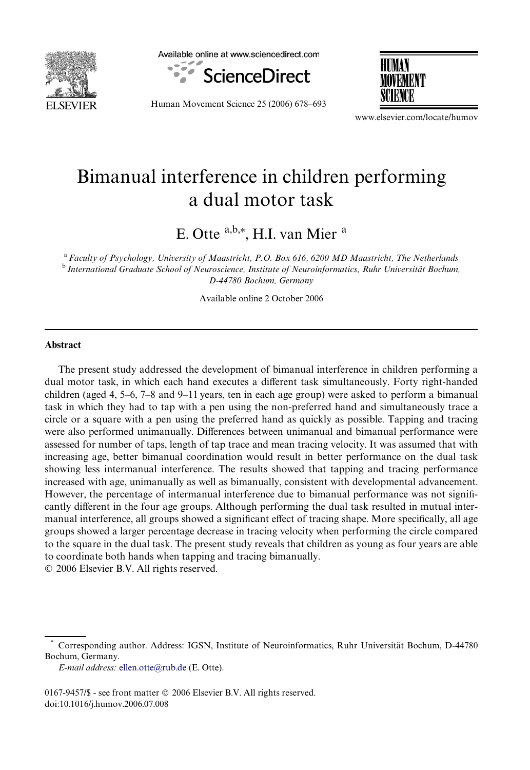

Available online at www.sciencedirect.com





Human Movement Science 25 (2006) 678–693

www.elsevier.com/locate/humov

# Bimanual interference in children performing a dual motor task

E. Otte a,b,\*, H.I. van Mier a

<sup>a</sup>*Faculty of Psychology, University of Maastricht, P.O. Box 616, 6200 MD Maastricht, The Netherlands* <sup>b</sup>*International Graduate School of Neuroscience, Institute of Neuroinformatics, Ruhr Universität Bochum, D-44780 Bochum, Germany*

Available online 2 October 2006

#### **Abstract**

The present study addressed the development of bimanual interference in children performing a dual motor task, in which each hand executes a different task simultaneously. Forty right-handed children (aged 4, 5–6, 7–8 and 9–11 years, ten in each age group) were asked to perform a bimanual task in which they had to tap with a pen using the non-preferred hand and simultaneously trace a circle or a square with a pen using the preferred hand as quickly as possible. Tapping and tracing were also performed unimanually. Differences between unimanual and bimanual performance were assessed for number of taps, length of tap trace and mean tracing velocity. It was assumed that with increasing age, better bimanual coordination would result in better performance on the dual task showing less intermanual interference. The results showed that tapping and tracing performance increased with age, unimanually as well as bimanually, consistent with developmental advancement. However, the percentage of intermanual interference due to bimanual performance was not significantly different in the four age groups. Although performing the dual task resulted in mutual intermanual interference, all groups showed a significant effect of tracing shape. More specifically, all age groups showed a larger percentage decrease in tracing velocity when performing the circle compared to the square in the dual task. The present study reveals that children as young as four years are able to coordinate both hands when tapping and tracing bimanually.

© 2006 Elsevier B.V. All rights reserved.

<sup>\*</sup> Corresponding author. Address: IGSN, Institute of Neuroinformatics, Ruhr Universität Bochum, D-44780 Bochum, Germany.

*E-mail address:* [ellen.otte@rub.de](mailto: ellen.otte@rub.de) (E. Otte).

<sup>0167-9457/\$ -</sup> see front matter © 2006 Elsevier B.V. All rights reserved. doi:10.1016/j.humov.2006.07.008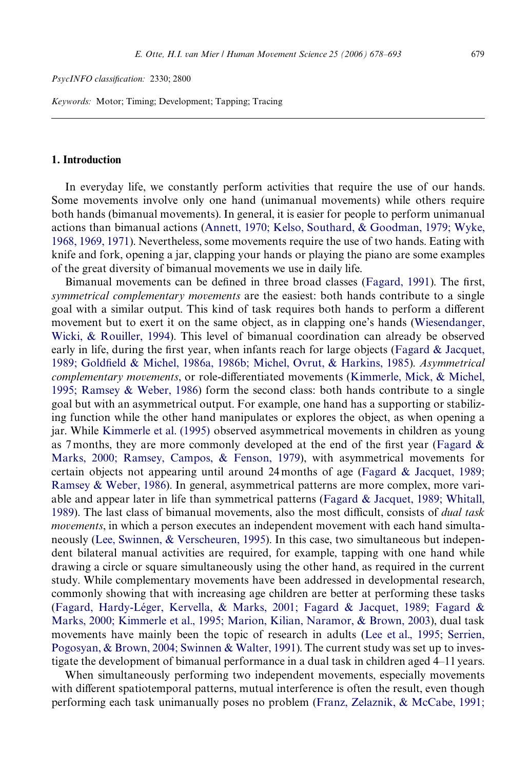*PsycINFO classification:* 2330; 2800

*Keywords:* Motor; Timing; Development; Tapping; Tracing

## **1. Introduction**

In everyday life, we constantly perform activities that require the use of our hands. Some movements involve only one hand (unimanual movements) while others require both hands (bimanual movements). In general, it is easier for people to perform unimanual actions than bimanual actions ([Annett, 1970; Kelso, Southard, & Goodman, 1979; Wyke,](#page-14-0) [1968, 1969, 1971](#page-14-0)). Nevertheless, some movements require the use of two hands. Eating with knife and fork, opening a jar, clapping your hands or playing the piano are some examples of the great diversity of bimanual movements we use in daily life.

Bimanual movements can be defined in three broad classes ([Fagard, 1991](#page-14-1)). The first, *symmetrical complementary movements* are the easiest: both hands contribute to a single goal with a similar output. This kind of task requires both hands to perform a different movement but to exert it on the same object, as in clapping one's hands [\(Wiesendanger,](#page-16-0) [Wicki, & Rouiller, 1994](#page-16-0)). This level of bimanual coordination can already be observed early in life, during the first year, when infants reach for large objects (Fagard  $\&$  Jacquet, [1989; Gold](#page-14-2)fi[eld & Michel, 1986a, 1986b; Michel, Ovrut, & Harkins, 1985\)](#page-14-2). *Asymmetrical complementary movements*, or role-differentiated movements ([Kimmerle, Mick, & Michel,](#page-15-0) [1995; Ramsey & Weber, 1986\)](#page-15-0) form the second class: both hands contribute to a single goal but with an asymmetrical output. For example, one hand has a supporting or stabilizing function while the other hand manipulates or explores the object, as when opening a jar. While [Kimmerle et al. \(1995\)](#page-15-0) observed asymmetrical movements in children as young as 7 months, they are more commonly developed at the end of the first year (Fagard  $\&$ [Marks, 2000; Ramsey, Campos, & Fenson, 1979](#page-14-3)), with asymmetrical movements for certain objects not appearing until around 24 months of age ([Fagard & Jacquet, 1989;](#page-14-2) [Ramsey & Weber, 1986\)](#page-14-2). In general, asymmetrical patterns are more complex, more variable and appear later in life than symmetrical patterns ([Fagard & Jacquet, 1989; Whitall,](#page-14-2) [1989](#page-14-2)). The last class of bimanual movements, also the most difficult, consists of *dual task movements*, in which a person executes an independent movement with each hand simultaneously [\(Lee, Swinnen, & Verscheuren, 1995\)](#page-15-1). In this case, two simultaneous but independent bilateral manual activities are required, for example, tapping with one hand while drawing a circle or square simultaneously using the other hand, as required in the current study. While complementary movements have been addressed in developmental research, commonly showing that with increasing age children are better at performing these tasks ([Fagard, Hardy-Léger, Kervella, & Marks, 2001; Fagard & Jacquet, 1989; Fagard &](#page-14-4) [Marks, 2000; Kimmerle et al., 1995; Marion, Kilian, Naramor, & Brown, 2003](#page-14-4)), dual task movements have mainly been the topic of research in adults [\(Lee et al., 1995; Serrien,](#page-15-1) [Pogosyan, & Brown, 2004; Swinnen & Walter, 1991\)](#page-15-1). The current study was set up to investigate the development of bimanual performance in a dual task in children aged 4–11 years.

When simultaneously performing two independent movements, especially movements with different spatiotemporal patterns, mutual interference is often the result, even though performing each task unimanually poses no problem ([Franz, Zelaznik, & McCabe, 1991;](#page-14-5)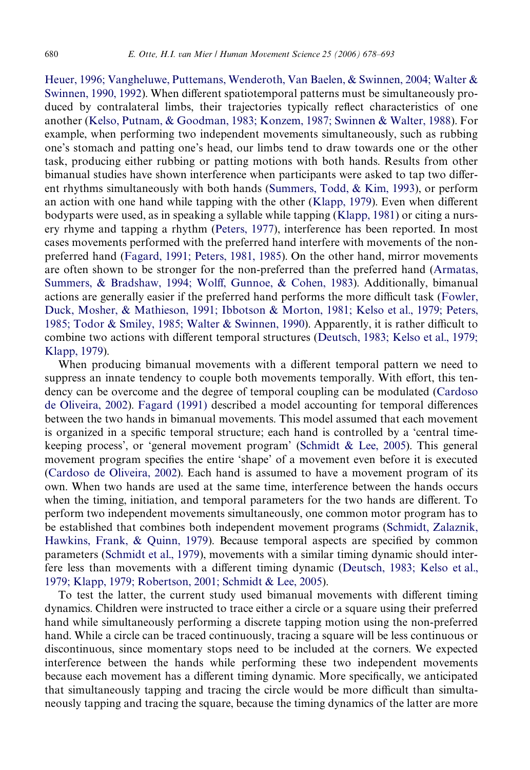[Heuer, 1996; Vangheluwe, Puttemans, Wenderoth, Van Baelen, & Swinnen, 2004; Walter &](#page-14-5) [Swinnen, 1990, 1992](#page-14-5)). When different spatiotemporal patterns must be simultaneously produced by contralateral limbs, their trajectories typically reflect characteristics of one another [\(Kelso, Putnam, & Goodman, 1983; Konzem, 1987; Swinnen & Walter, 1988\)](#page-15-2). For example, when performing two independent movements simultaneously, such as rubbing one's stomach and patting one's head, our limbs tend to draw towards one or the other task, producing either rubbing or patting motions with both hands. Results from other bimanual studies have shown interference when participants were asked to tap two different rhythms simultaneously with both hands ([Summers, Todd, & Kim, 1993\)](#page-16-1), or perform an action with one hand while tapping with the other  $(Klapp, 1979)$  $(Klapp, 1979)$  $(Klapp, 1979)$ . Even when different bodyparts were used, as in speaking a syllable while tapping ([Klapp, 1981](#page-15-4)) or citing a nursery rhyme and tapping a rhythm [\(Peters, 1977\)](#page-15-5), interference has been reported. In most cases movements performed with the preferred hand interfere with movements of the nonpreferred hand ([Fagard, 1991; Peters, 1981, 1985\)](#page-14-1). On the other hand, mirror movements are often shown to be stronger for the non-preferred than the preferred hand [\(Armatas,](#page-14-6) [Summers, & Bradshaw, 1994; Wol](#page-14-6)ff[, Gunnoe, & Cohen, 1983](#page-14-6)). Additionally, bimanual actions are generally easier if the preferred hand performs the more difficult task ([Fowler,](#page-14-7) [Duck, Mosher, & Mathieson, 1991; Ibbotson & Morton, 1981; Kelso et al., 1979; Peters,](#page-14-7) [1985; Todor & Smiley, 1985; Walter & Swinnen, 1990](#page-14-7)). Apparently, it is rather difficult to combine two actions with different temporal structures ([Deutsch, 1983; Kelso et al., 1979;](#page-14-8) [Klapp, 1979](#page-14-8)).

When producing bimanual movements with a different temporal pattern we need to suppress an innate tendency to couple both movements temporally. With effort, this tendency can be overcome and the degree of temporal coupling can be modulated ([Cardoso](#page-14-9) [de Oliveira, 2002\)](#page-14-9). [Fagard \(1991\)](#page-14-1) described a model accounting for temporal differences between the two hands in bimanual movements. This model assumed that each movement is organized in a specific temporal structure; each hand is controlled by a 'central timekeeping process', or 'general movement program' [\(Schmidt & Lee, 2005\)](#page-15-6). This general movement program specifies the entire 'shape' of a movement even before it is executed ([Cardoso de Oliveira, 2002](#page-14-9)). Each hand is assumed to have a movement program of its own. When two hands are used at the same time, interference between the hands occurs when the timing, initiation, and temporal parameters for the two hands are different. To perform two independent movements simultaneously, one common motor program has to be established that combines both independent movement programs ([Schmidt, Zalaznik,](#page-15-7) Hawkins, Frank,  $&$  Quinn, 1979). Because temporal aspects are specified by common parameters [\(Schmidt et al., 1979](#page-15-7)), movements with a similar timing dynamic should inter-fere less than movements with a different timing dynamic ([Deutsch, 1983; Kelso et al.,](#page-14-8) [1979; Klapp, 1979; Robertson, 2001; Schmidt & Lee, 2005\)](#page-14-8).

To test the latter, the current study used bimanual movements with different timing dynamics. Children were instructed to trace either a circle or a square using their preferred hand while simultaneously performing a discrete tapping motion using the non-preferred hand. While a circle can be traced continuously, tracing a square will be less continuous or discontinuous, since momentary stops need to be included at the corners. We expected interference between the hands while performing these two independent movements because each movement has a different timing dynamic. More specifically, we anticipated that simultaneously tapping and tracing the circle would be more difficult than simultaneously tapping and tracing the square, because the timing dynamics of the latter are more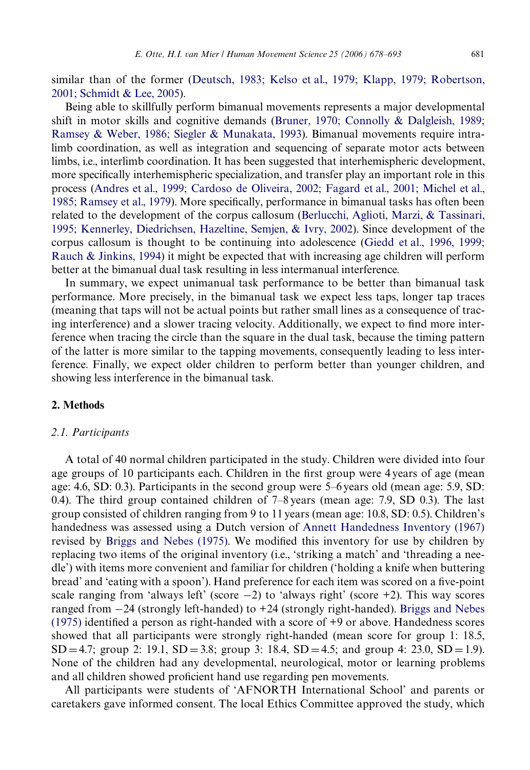similar than of the former ([Deutsch, 1983; Kelso et al., 1979; Klapp, 1979; Robertson,](#page-14-8) [2001; Schmidt & Lee, 2005\)](#page-14-8).

Being able to skillfully perform bimanual movements represents a major developmental shift in motor skills and cognitive demands ([Bruner, 1970; Connolly & Dalgleish, 1989;](#page-14-10) [Ramsey & Weber, 1986; Siegler & Munakata, 1993\)](#page-14-10). Bimanual movements require intralimb coordination, as well as integration and sequencing of separate motor acts between limbs, i.e., interlimb coordination. It has been suggested that interhemispheric development, more specifically interhemispheric specialization, and transfer play an important role in this process [\(Andres et al., 1999; Cardoso de Oliveira, 2002; Fagard et al., 2001; Michel et al.,](#page-13-0) [1985; Ramsey et al., 1979\)](#page-13-0). More specifically, performance in bimanual tasks has often been related to the development of the corpus callosum [\(Berlucchi, Aglioti, Marzi, & Tassinari,](#page-14-11) [1995; Kennerley, Diedrichsen, Hazeltine, Semjen, & Ivry, 2002\)](#page-14-11). Since development of the corpus callosum is thought to be continuing into adolescence ([Giedd et al., 1996, 1999;](#page-14-12) [Rauch & Jinkins, 1994](#page-14-12)) it might be expected that with increasing age children will perform better at the bimanual dual task resulting in less intermanual interference.

In summary, we expect unimanual task performance to be better than bimanual task performance. More precisely, in the bimanual task we expect less taps, longer tap traces (meaning that taps will not be actual points but rather small lines as a consequence of tracing interference) and a slower tracing velocity. Additionally, we expect to find more interference when tracing the circle than the square in the dual task, because the timing pattern of the latter is more similar to the tapping movements, consequently leading to less interference. Finally, we expect older children to perform better than younger children, and showing less interference in the bimanual task.

#### **2. Methods**

#### *2.1. Participants*

A total of 40 normal children participated in the study. Children were divided into four age groups of  $10$  participants each. Children in the first group were 4 years of age (mean age: 4.6, SD: 0.3). Participants in the second group were 5–6 years old (mean age: 5.9, SD: 0.4). The third group contained children of 7–8 years (mean age: 7.9, SD 0.3). The last group consisted of children ranging from 9 to 11 years (mean age: 10.8, SD: 0.5). Children's handedness was assessed using a Dutch version of [Annett Handedness Inventory \(1967\)](#page-13-1) revised by [Briggs and Nebes \(1975\)](#page-14-13). We modified this inventory for use by children by replacing two items of the original inventory (i.e., 'striking a match' and 'threading a needle') with items more convenient and familiar for children ('holding a knife when buttering bread' and 'eating with a spoon'). Hand preference for each item was scored on a five-point scale ranging from 'always left' (score  $-2$ ) to 'always right' (score  $+2$ ). This way scores ranged from  $-24$  (strongly left-handed) to  $+24$  (strongly right-handed). [Briggs and Nebes](#page-14-13) [\(1975\)](#page-14-13) identified a person as right-handed with a score of  $+9$  or above. Handedness scores showed that all participants were strongly right-handed (mean score for group 1: 18.5,  $SD = 4.7$ ; group 2: 19.1,  $SD = 3.8$ ; group 3: 18.4,  $SD = 4.5$ ; and group 4: 23.0,  $SD = 1.9$ ). None of the children had any developmental, neurological, motor or learning problems and all children showed proficient hand use regarding pen movements.

All participants were students of 'AFNORTH International School' and parents or caretakers gave informed consent. The local Ethics Committee approved the study, which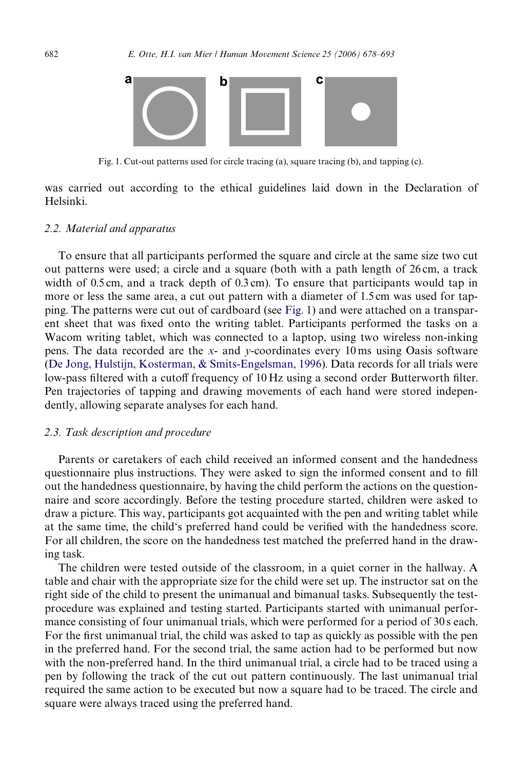

Fig. 1. Cut-out patterns used for circle tracing (a), square tracing (b), and tapping (c).

<span id="page-5-0"></span>was carried out according to the ethical guidelines laid down in the Declaration of Helsinki.

## *2.2. Material and apparatus*

To ensure that all participants performed the square and circle at the same size two cut out patterns were used; a circle and a square (both with a path length of 26 cm, a track width of 0.5 cm, and a track depth of 0.3 cm). To ensure that participants would tap in more or less the same area, a cut out pattern with a diameter of 1.5 cm was used for tapping. The patterns were cut out of cardboard (see [Fig. 1\)](#page-5-0) and were attached on a transparent sheet that was fixed onto the writing tablet. Participants performed the tasks on a Wacom writing tablet, which was connected to a laptop, using two wireless non-inking pens. The data recorded are the *x*- and *y*-coordinates every 10 ms using Oasis software ([De Jong, Hulstijn, Kosterman, & Smits-Engelsman, 1996](#page-14-14)). Data records for all trials were low-pass filtered with a cutoff frequency of 10 Hz using a second order Butterworth filter. Pen trajectories of tapping and drawing movements of each hand were stored independently, allowing separate analyses for each hand.

### *2.3. Task description and procedure*

Parents or caretakers of each child received an informed consent and the handedness questionnaire plus instructions. They were asked to sign the informed consent and to fill out the handedness questionnaire, by having the child perform the actions on the questionnaire and score accordingly. Before the testing procedure started, children were asked to draw a picture. This way, participants got acquainted with the pen and writing tablet while at the same time, the child's preferred hand could be verified with the handedness score. For all children, the score on the handedness test matched the preferred hand in the drawing task.

The children were tested outside of the classroom, in a quiet corner in the hallway. A table and chair with the appropriate size for the child were set up. The instructor sat on the right side of the child to present the unimanual and bimanual tasks. Subsequently the testprocedure was explained and testing started. Participants started with unimanual performance consisting of four unimanual trials, which were performed for a period of 30 s each. For the first unimanual trial, the child was asked to tap as quickly as possible with the pen in the preferred hand. For the second trial, the same action had to be performed but now with the non-preferred hand. In the third unimanual trial, a circle had to be traced using a pen by following the track of the cut out pattern continuously. The last unimanual trial required the same action to be executed but now a square had to be traced. The circle and square were always traced using the preferred hand.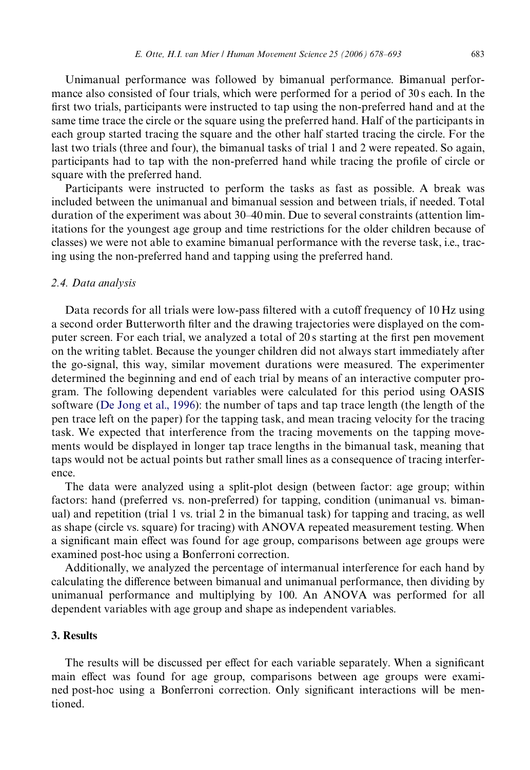Unimanual performance was followed by bimanual performance. Bimanual performance also consisted of four trials, which were performed for a period of 30 s each. In the first two trials, participants were instructed to tap using the non-preferred hand and at the same time trace the circle or the square using the preferred hand. Half of the participants in each group started tracing the square and the other half started tracing the circle. For the last two trials (three and four), the bimanual tasks of trial 1 and 2 were repeated. So again, participants had to tap with the non-preferred hand while tracing the profile of circle or square with the preferred hand.

Participants were instructed to perform the tasks as fast as possible. A break was included between the unimanual and bimanual session and between trials, if needed. Total duration of the experiment was about 30–40 min. Due to several constraints (attention limitations for the youngest age group and time restrictions for the older children because of classes) we were not able to examine bimanual performance with the reverse task, i.e., tracing using the non-preferred hand and tapping using the preferred hand.

#### *2.4. Data analysis*

Data records for all trials were low-pass filtered with a cutoff frequency of  $10 \text{ Hz}$  using a second order Butterworth filter and the drawing trajectories were displayed on the computer screen. For each trial, we analyzed a total of 20 s starting at the first pen movement on the writing tablet. Because the younger children did not always start immediately after the go-signal, this way, similar movement durations were measured. The experimenter determined the beginning and end of each trial by means of an interactive computer program. The following dependent variables were calculated for this period using OASIS software [\(De Jong et al., 1996](#page-14-14)): the number of taps and tap trace length (the length of the pen trace left on the paper) for the tapping task, and mean tracing velocity for the tracing task. We expected that interference from the tracing movements on the tapping movements would be displayed in longer tap trace lengths in the bimanual task, meaning that taps would not be actual points but rather small lines as a consequence of tracing interference.

The data were analyzed using a split-plot design (between factor: age group; within factors: hand (preferred vs. non-preferred) for tapping, condition (unimanual vs. bimanual) and repetition (trial 1 vs. trial 2 in the bimanual task) for tapping and tracing, as well as shape (circle vs. square) for tracing) with ANOVA repeated measurement testing. When a significant main effect was found for age group, comparisons between age groups were examined post-hoc using a Bonferroni correction.

Additionally, we analyzed the percentage of intermanual interference for each hand by calculating the difference between bimanual and unimanual performance, then dividing by unimanual performance and multiplying by 100. An ANOVA was performed for all dependent variables with age group and shape as independent variables.

# **3. Results**

The results will be discussed per effect for each variable separately. When a significant main effect was found for age group, comparisons between age groups were examined post-hoc using a Bonferroni correction. Only significant interactions will be mentioned.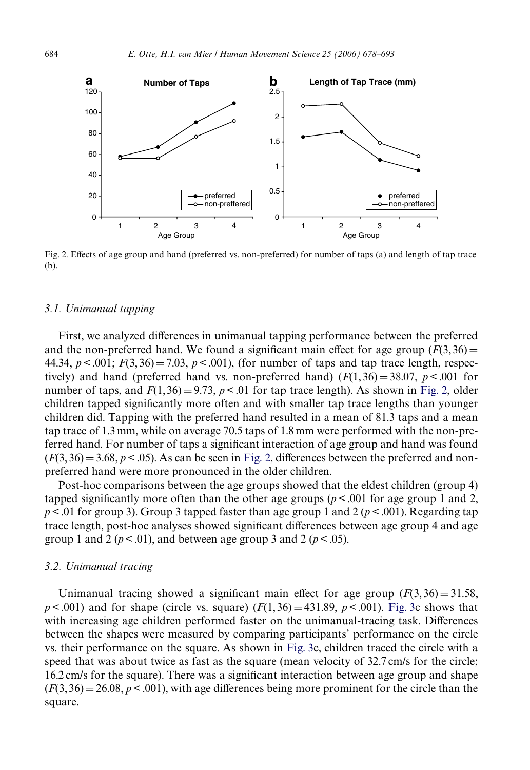

<span id="page-7-0"></span>Fig. 2. Effects of age group and hand (preferred vs. non-preferred) for number of taps (a) and length of tap trace (b).

#### *3.1. Unimanual tapping*

First, we analyzed differences in unimanual tapping performance between the preferred and the non-preferred hand. We found a significant main effect for age group  $(F(3,36))$ 44.34,  $p < .001$ ;  $F(3, 36) = 7.03$ ,  $p < .001$ ), (for number of taps and tap trace length, respectively) and hand (preferred hand vs. non-preferred hand)  $(F(1, 36) = 38.07, p < .001$  for number of taps, and  $F(1,36) = 9.73$ ,  $p < 0.01$  for tap trace length). As shown in [Fig. 2](#page-7-0), older children tapped significantly more often and with smaller tap trace lengths than younger children did. Tapping with the preferred hand resulted in a mean of 81.3 taps and a mean tap trace of 1.3 mm, while on average 70.5 taps of 1.8 mm were performed with the non-preferred hand. For number of taps a significant interaction of age group and hand was found  $(F(3, 36) = 3.68, p < .05)$ . As can be seen in [Fig. 2,](#page-7-0) differences between the preferred and nonpreferred hand were more pronounced in the older children.

Post-hoc comparisons between the age groups showed that the eldest children (group 4) tapped significantly more often than the other age groups ( $p < .001$  for age group 1 and 2,  $p < 0.01$  for group 3). Group 3 tapped faster than age group 1 and 2 ( $p < 0.001$ ). Regarding tap trace length, post-hoc analyses showed significant differences between age group 4 and age group 1 and 2 ( $p < .01$ ), and between age group 3 and 2 ( $p < .05$ ).

#### *3.2. Unimanual tracing*

Unimanual tracing showed a significant main effect for age group  $(F(3, 36) = 31.58$ ,  $p < .001$ ) and for shape (circle vs. square)  $(F(1, 36) = 431.89, p < .001)$ . [Fig. 3c](#page-8-0) shows that with increasing age children performed faster on the unimanual-tracing task. Differences between the shapes were measured by comparing participants' performance on the circle vs. their performance on the square. As shown in [Fig. 3](#page-8-0)c, children traced the circle with a speed that was about twice as fast as the square (mean velocity of 32.7 cm/s for the circle; 16.2 cm/s for the square). There was a significant interaction between age group and shape  $(F(3, 36) = 26.08, p < .001)$ , with age differences being more prominent for the circle than the square.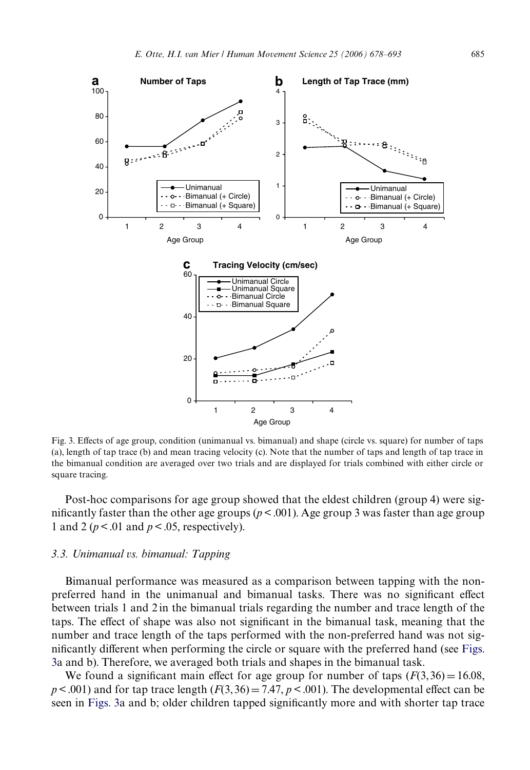

<span id="page-8-0"></span>Fig. 3. Effects of age group, condition (unimanual vs. bimanual) and shape (circle vs. square) for number of taps (a), length of tap trace (b) and mean tracing velocity (c). Note that the number of taps and length of tap trace in the bimanual condition are averaged over two trials and are displayed for trials combined with either circle or square tracing.

Post-hoc comparisons for age group showed that the eldest children (group 4) were significantly faster than the other age groups ( $p < .001$ ). Age group 3 was faster than age group 1 and 2 (*p*< .01 and *p*< .05, respectively).

#### *3.3. Unimanual vs. bimanual: Tapping*

Bimanual performance was measured as a comparison between tapping with the nonpreferred hand in the unimanual and bimanual tasks. There was no significant effect between trials 1 and 2 in the bimanual trials regarding the number and trace length of the taps. The effect of shape was also not significant in the bimanual task, meaning that the number and trace length of the taps performed with the non-preferred hand was not sig-nificantly different when performing the circle or square with the preferred hand (see [Figs.](#page-8-0) [3](#page-8-0)a and b). Therefore, we averaged both trials and shapes in the bimanual task.

We found a significant main effect for age group for number of taps  $(F(3,36)=16.08,$  $p < .001$ ) and for tap trace length ( $F(3,36) = 7.47$ ,  $p < .001$ ). The developmental effect can be seen in [Figs. 3a](#page-8-0) and b; older children tapped significantly more and with shorter tap trace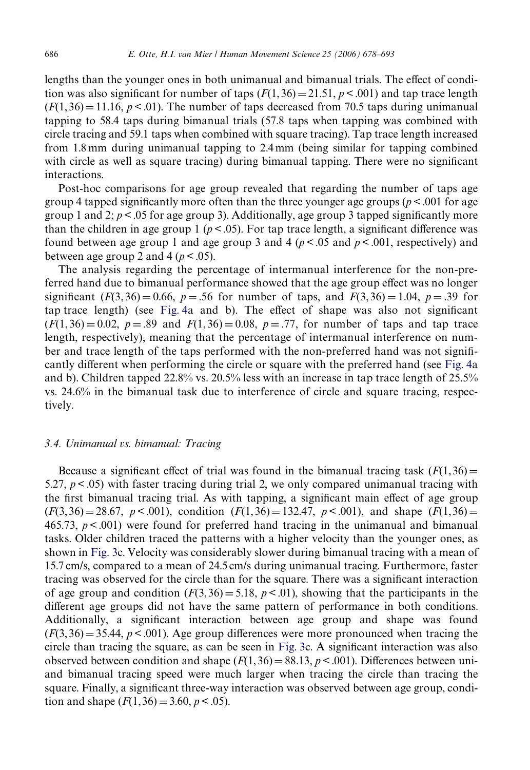lengths than the younger ones in both unimanual and bimanual trials. The effect of condition was also significant for number of taps  $(F(1, 36) = 21.51, p < .001)$  and tap trace length  $(F(1, 36) = 11.16, p < .01)$ . The number of taps decreased from 70.5 taps during unimanual tapping to 58.4 taps during bimanual trials (57.8 taps when tapping was combined with circle tracing and 59.1 taps when combined with square tracing). Tap trace length increased from 1.8 mm during unimanual tapping to 2.4 mm (being similar for tapping combined with circle as well as square tracing) during bimanual tapping. There were no significant interactions.

Post-hoc comparisons for age group revealed that regarding the number of taps age group 4 tapped significantly more often than the three younger age groups ( $p < .001$  for age group 1 and 2;  $p < 0.05$  for age group 3). Additionally, age group 3 tapped significantly more than the children in age group 1 ( $p < .05$ ). For tap trace length, a significant difference was found between age group 1 and age group 3 and  $4 (p < .05$  and  $p < .001$ , respectively) and between age group 2 and 4 ( $p < .05$ ).

The analysis regarding the percentage of intermanual interference for the non-preferred hand due to bimanual performance showed that the age group effect was no longer significant  $(F(3, 36) = 0.66, p = .56$  for number of taps, and  $F(3, 36) = 1.04, p = .39$  for tap trace length) (see [Fig. 4a](#page-10-0) and b). The effect of shape was also not significant  $(F(1, 36) = 0.02, p = .89 \text{ and } F(1, 36) = 0.08, p = .77, \text{ for number of taps and tap trace}$ length, respectively), meaning that the percentage of intermanual interference on number and trace length of the taps performed with the non-preferred hand was not signifi-cantly different when performing the circle or square with the preferred hand (see [Fig. 4](#page-10-0)a and b). Children tapped 22.8% vs. 20.5% less with an increase in tap trace length of 25.5% vs. 24.6% in the bimanual task due to interference of circle and square tracing, respectively.

## *3.4. Unimanual vs. bimanual: Tracing*

Because a significant effect of trial was found in the bimanual tracing task  $(F(1,36))$ 5.27,  $p < .05$ ) with faster tracing during trial 2, we only compared unimanual tracing with the first bimanual tracing trial. As with tapping, a significant main effect of age group  $(F(3, 36) = 28.67, p < .001)$ , condition  $(F(1, 36) = 132.47, p < .001)$ , and shape  $(F(1, 36) = 132.47, p < .001)$ 465.73,  $p < .001$ ) were found for preferred hand tracing in the unimanual and bimanual tasks. Older children traced the patterns with a higher velocity than the younger ones, as shown in [Fig. 3c](#page-8-0). Velocity was considerably slower during bimanual tracing with a mean of 15.7 cm/s, compared to a mean of 24.5 cm/s during unimanual tracing. Furthermore, faster tracing was observed for the circle than for the square. There was a significant interaction of age group and condition  $(F(3, 36) = 5.18, p < .01)$ , showing that the participants in the different age groups did not have the same pattern of performance in both conditions. Additionally, a significant interaction between age group and shape was found  $(F(3, 36) = 35.44, p < .001)$ . Age group differences were more pronounced when tracing the circle than tracing the square, as can be seen in [Fig. 3c](#page-8-0). A significant interaction was also observed between condition and shape  $(F(1, 36) = 88.13, p < .001)$ . Differences between uniand bimanual tracing speed were much larger when tracing the circle than tracing the square. Finally, a significant three-way interaction was observed between age group, condition and shape  $(F(1,36) = 3.60, p < .05)$ .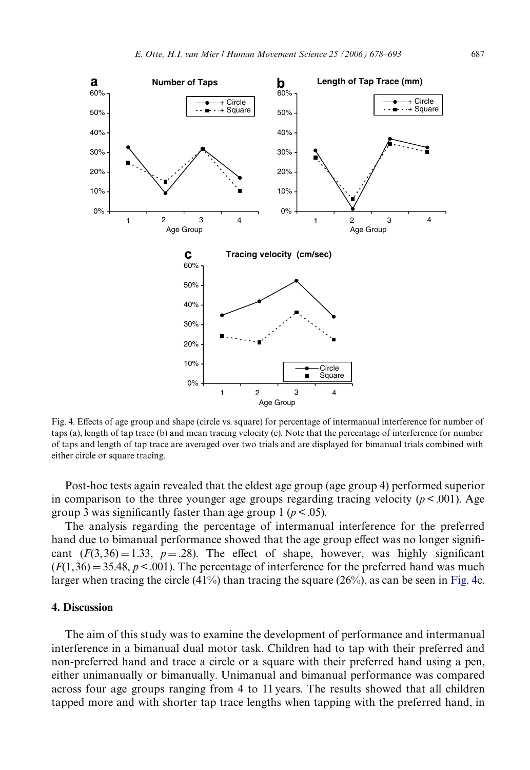

<span id="page-10-0"></span>Fig. 4. Effects of age group and shape (circle vs. square) for percentage of intermanual interference for number of taps (a), length of tap trace (b) and mean tracing velocity (c). Note that the percentage of interference for number of taps and length of tap trace are averaged over two trials and are displayed for bimanual trials combined with either circle or square tracing.

Post-hoc tests again revealed that the eldest age group (age group 4) performed superior in comparison to the three younger age groups regarding tracing velocity  $(p < .001)$ . Age group 3 was significantly faster than age group 1 ( $p < .05$ ).

The analysis regarding the percentage of intermanual interference for the preferred hand due to bimanual performance showed that the age group effect was no longer significant  $(F(3, 36) = 1.33, p = .28)$ . The effect of shape, however, was highly significant  $(F(1,36) = 35.48, p < .001)$ . The percentage of interference for the preferred hand was much larger when tracing the circle  $(41%)$  than tracing the square  $(26%)$ , as can be seen in [Fig. 4c](#page-10-0).

## **4. Discussion**

The aim of this study was to examine the development of performance and intermanual interference in a bimanual dual motor task. Children had to tap with their preferred and non-preferred hand and trace a circle or a square with their preferred hand using a pen, either unimanually or bimanually. Unimanual and bimanual performance was compared across four age groups ranging from 4 to 11 years. The results showed that all children tapped more and with shorter tap trace lengths when tapping with the preferred hand, in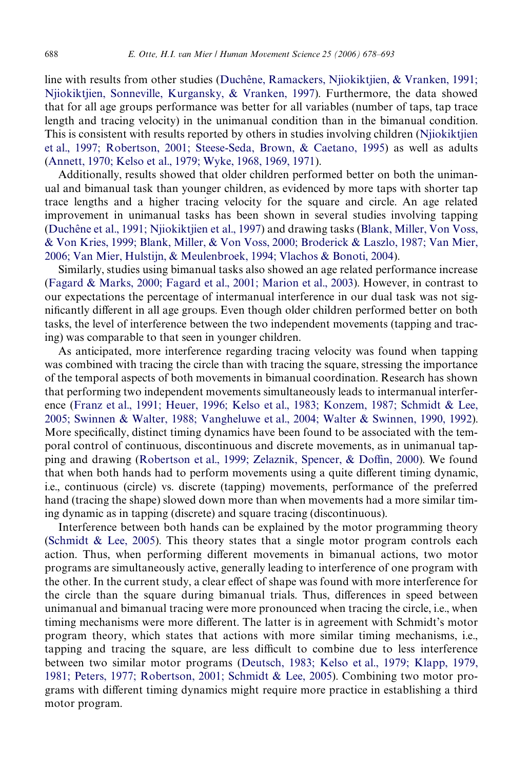line with results from other studies [\(Duchêne, Ramackers, Njiokiktjien, & Vranken, 1991;](#page-14-15) [Njiokiktjien, Sonneville, Kurgansky, & Vranken, 1997](#page-14-15)). Furthermore, the data showed that for all age groups performance was better for all variables (number of taps, tap trace length and tracing velocity) in the unimanual condition than in the bimanual condition. This is consistent with results reported by others in studies involving children ([Njiokiktjien](#page-15-8) [et al., 1997; Robertson, 2001; Steese-Seda, Brown, & Caetano, 1995\)](#page-15-8) as well as adults ([Annett, 1970; Kelso et al., 1979; Wyke, 1968, 1969, 1971\)](#page-14-0).

Additionally, results showed that older children performed better on both the unimanual and bimanual task than younger children, as evidenced by more taps with shorter tap trace lengths and a higher tracing velocity for the square and circle. An age related improvement in unimanual tasks has been shown in several studies involving tapping ([Duchêne et al., 1991; Njiokiktjien et al., 1997\)](#page-14-15) and drawing tasks ([Blank, Miller, Von Voss,](#page-14-16) [& Von Kries, 1999; Blank, Miller, & Von Voss, 2000; Broderick & Laszlo, 1987; Van Mier,](#page-14-16) [2006; Van Mier, Hulstijn, & Meulenbroek, 1994; Vlachos & Bonoti, 2004\)](#page-14-16).

Similarly, studies using bimanual tasks also showed an age related performance increase ([Fagard & Marks, 2000; Fagard et al., 2001; Marion et al., 2003](#page-14-3)). However, in contrast to our expectations the percentage of intermanual interference in our dual task was not significantly different in all age groups. Even though older children performed better on both tasks, the level of interference between the two independent movements (tapping and tracing) was comparable to that seen in younger children.

As anticipated, more interference regarding tracing velocity was found when tapping was combined with tracing the circle than with tracing the square, stressing the importance of the temporal aspects of both movements in bimanual coordination. Research has shown that performing two independent movements simultaneously leads to intermanual interference [\(Franz et al., 1991; Heuer, 1996; Kelso et al., 1983; Konzem, 1987; Schmidt & Lee,](#page-14-5) [2005; Swinnen & Walter, 1988; Vangheluwe et al., 2004; Walter & Swinnen, 1990, 1992\)](#page-14-5). More specifically, distinct timing dynamics have been found to be associated with the temporal control of continuous, discontinuous and discrete movements, as in unimanual tap-ping and drawing ([Robertson et al., 1999; Zelaznik, Spencer, & Do](#page-15-9)ffi[n, 2000](#page-15-9)). We found that when both hands had to perform movements using a quite different timing dynamic, i.e., continuous (circle) vs. discrete (tapping) movements, performance of the preferred hand (tracing the shape) slowed down more than when movements had a more similar timing dynamic as in tapping (discrete) and square tracing (discontinuous).

Interference between both hands can be explained by the motor programming theory (Schmidt  $&$  Lee, 2005). This theory states that a single motor program controls each action. Thus, when performing different movements in bimanual actions, two motor programs are simultaneously active, generally leading to interference of one program with the other. In the current study, a clear effect of shape was found with more interference for the circle than the square during bimanual trials. Thus, differences in speed between unimanual and bimanual tracing were more pronounced when tracing the circle, i.e., when timing mechanisms were more different. The latter is in agreement with Schmidt's motor program theory, which states that actions with more similar timing mechanisms, i.e., tapping and tracing the square, are less difficult to combine due to less interference between two similar motor programs [\(Deutsch, 1983; Kelso et al., 1979; Klapp, 1979,](#page-14-8) [1981; Peters, 1977; Robertson, 2001; Schmidt & Lee, 2005](#page-14-8)). Combining two motor programs with different timing dynamics might require more practice in establishing a third motor program.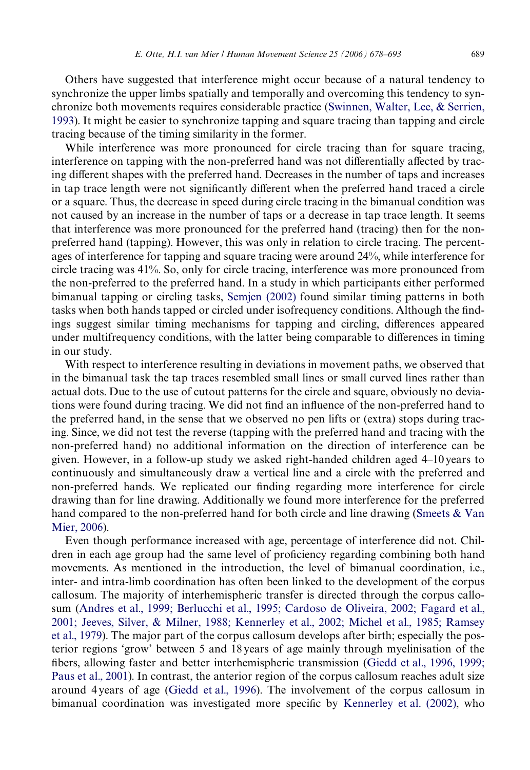Others have suggested that interference might occur because of a natural tendency to synchronize the upper limbs spatially and temporally and overcoming this tendency to synchronize both movements requires considerable practice [\(Swinnen, Walter, Lee, & Serrien,](#page-16-2) [1993](#page-16-2)). It might be easier to synchronize tapping and square tracing than tapping and circle tracing because of the timing similarity in the former.

While interference was more pronounced for circle tracing than for square tracing, interference on tapping with the non-preferred hand was not differentially affected by tracing different shapes with the preferred hand. Decreases in the number of taps and increases in tap trace length were not significantly different when the preferred hand traced a circle or a square. Thus, the decrease in speed during circle tracing in the bimanual condition was not caused by an increase in the number of taps or a decrease in tap trace length. It seems that interference was more pronounced for the preferred hand (tracing) then for the nonpreferred hand (tapping). However, this was only in relation to circle tracing. The percentages of interference for tapping and square tracing were around 24%, while interference for circle tracing was 41%. So, only for circle tracing, interference was more pronounced from the non-preferred to the preferred hand. In a study in which participants either performed bimanual tapping or circling tasks, [Semjen \(2002\)](#page-15-10) found similar timing patterns in both tasks when both hands tapped or circled under isofrequency conditions. Although the findings suggest similar timing mechanisms for tapping and circling, differences appeared under multifrequency conditions, with the latter being comparable to differences in timing in our study.

With respect to interference resulting in deviations in movement paths, we observed that in the bimanual task the tap traces resembled small lines or small curved lines rather than actual dots. Due to the use of cutout patterns for the circle and square, obviously no deviations were found during tracing. We did not find an influence of the non-preferred hand to the preferred hand, in the sense that we observed no pen lifts or (extra) stops during tracing. Since, we did not test the reverse (tapping with the preferred hand and tracing with the non-preferred hand) no additional information on the direction of interference can be given. However, in a follow-up study we asked right-handed children aged 4–10 years to continuously and simultaneously draw a vertical line and a circle with the preferred and non-preferred hands. We replicated our finding regarding more interference for circle drawing than for line drawing. Additionally we found more interference for the preferred hand compared to the non-preferred hand for both circle and line drawing ([Smeets & Van](#page-16-3) [Mier, 2006\)](#page-16-3).

Even though performance increased with age, percentage of interference did not. Children in each age group had the same level of proficiency regarding combining both hand movements. As mentioned in the introduction, the level of bimanual coordination, i.e., inter- and intra-limb coordination has often been linked to the development of the corpus callosum. The majority of interhemispheric transfer is directed through the corpus callosum [\(Andres et al., 1999; Berlucchi et al., 1995; Cardoso de Oliveira, 2002; Fagard et al.,](#page-13-0) [2001; Jeeves, Silver, & Milner, 1988; Kennerley et al., 2002; Michel et al., 1985; Ramsey](#page-13-0) [et al., 1979](#page-13-0)). The major part of the corpus callosum develops after birth; especially the posterior regions 'grow' between 5 and 18 years of age mainly through myelinisation of the fibers, allowing faster and better interhemispheric transmission [\(Giedd et al., 1996, 1999;](#page-14-12) [Paus et al., 2001](#page-14-12)). In contrast, the anterior region of the corpus callosum reaches adult size around 4 years of age ([Giedd et al., 1996](#page-14-12)). The involvement of the corpus callosum in bimanual coordination was investigated more specific by [Kennerley et al. \(2002\)](#page-15-11), who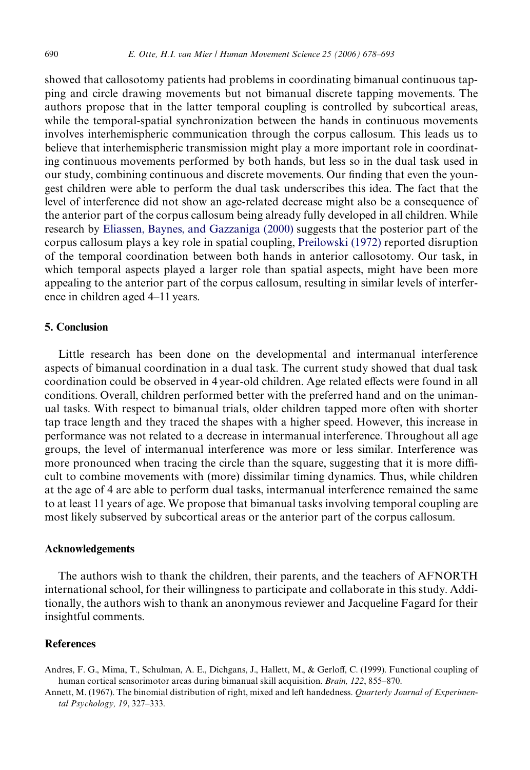showed that callosotomy patients had problems in coordinating bimanual continuous tapping and circle drawing movements but not bimanual discrete tapping movements. The authors propose that in the latter temporal coupling is controlled by subcortical areas, while the temporal-spatial synchronization between the hands in continuous movements involves interhemispheric communication through the corpus callosum. This leads us to believe that interhemispheric transmission might play a more important role in coordinating continuous movements performed by both hands, but less so in the dual task used in our study, combining continuous and discrete movements. Our finding that even the youngest children were able to perform the dual task underscribes this idea. The fact that the level of interference did not show an age-related decrease might also be a consequence of the anterior part of the corpus callosum being already fully developed in all children. While research by [Eliassen, Baynes, and Gazzaniga \(2000\)](#page-14-17) suggests that the posterior part of the corpus callosum plays a key role in spatial coupling, [Preilowski \(1972\)](#page-15-12) reported disruption of the temporal coordination between both hands in anterior callosotomy. Our task, in which temporal aspects played a larger role than spatial aspects, might have been more appealing to the anterior part of the corpus callosum, resulting in similar levels of interference in children aged 4–11 years.

## **5. Conclusion**

Little research has been done on the developmental and intermanual interference aspects of bimanual coordination in a dual task. The current study showed that dual task coordination could be observed in 4 year-old children. Age related effects were found in all conditions. Overall, children performed better with the preferred hand and on the unimanual tasks. With respect to bimanual trials, older children tapped more often with shorter tap trace length and they traced the shapes with a higher speed. However, this increase in performance was not related to a decrease in intermanual interference. Throughout all age groups, the level of intermanual interference was more or less similar. Interference was more pronounced when tracing the circle than the square, suggesting that it is more difficult to combine movements with (more) dissimilar timing dynamics. Thus, while children at the age of 4 are able to perform dual tasks, intermanual interference remained the same to at least 11 years of age. We propose that bimanual tasks involving temporal coupling are most likely subserved by subcortical areas or the anterior part of the corpus callosum.

#### **Acknowledgements**

The authors wish to thank the children, their parents, and the teachers of AFNORTH international school, for their willingness to participate and collaborate in this study. Additionally, the authors wish to thank an anonymous reviewer and Jacqueline Fagard for their insightful comments.

## **References**

- <span id="page-13-0"></span>Andres, F. G., Mima, T., Schulman, A. E., Dichgans, J., Hallett, M., & Gerloff, C. (1999). Functional coupling of human cortical sensorimotor areas during bimanual skill acquisition. *Brain, 122*, 855–870.
- <span id="page-13-1"></span>Annett, M. (1967). The binomial distribution of right, mixed and left handedness. *Quarterly Journal of Experimental Psychology, 19*, 327–333.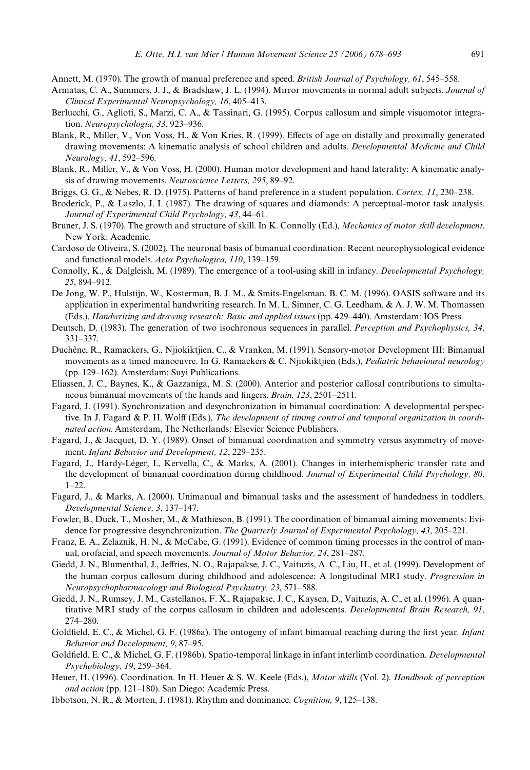- <span id="page-14-0"></span>Annett, M. (1970). The growth of manual preference and speed. *British Journal of Psychology, 61*, 545–558.
- <span id="page-14-6"></span>Armatas, C. A., Summers, J. J., & Bradshaw, J. L. (1994). Mirror movements in normal adult subjects. *Journal of Clinical Experimental Neuropsychology, 16*, 405–413.
- <span id="page-14-11"></span>Berlucchi, G., Aglioti, S., Marzi, C. A., & Tassinari, G. (1995). Corpus callosum and simple visuomotor integration. *Neuropsychologia, 33*, 923–936.
- <span id="page-14-16"></span>Blank, R., Miller, V., Von Voss, H., & Von Kries, R. (1999). Effects of age on distally and proximally generated drawing movements: A kinematic analysis of school children and adults. *Developmental Medicine and Child Neurology, 41*, 592–596.
- Blank, R., Miller, V., & Von Voss, H. (2000). Human motor development and hand laterality: A kinematic analysis of drawing movements. *Neuroscience Letters, 295*, 89–92.
- <span id="page-14-13"></span>Briggs, G. G., & Nebes, R. D. (1975). Patterns of hand preference in a student population. *Cortex, 11*, 230–238.
- Broderick, P., & Laszlo, J. I. (1987). The drawing of squares and diamonds: A perceptual-motor task analysis. *Journal of Experimental Child Psychology, 43*, 44–61.
- <span id="page-14-10"></span>Bruner, J. S. (1970). The growth and structure of skill. In K. Connolly (Ed.), *Mechanics of motor skill development*. New York: Academic.
- <span id="page-14-9"></span>Cardoso de Oliveira, S. (2002). The neuronal basis of bimanual coordination: Recent neurophysiological evidence and functional models. *Acta Psychologica, 110*, 139–159.
- Connolly, K., & Dalgleish, M. (1989). The emergence of a tool-using skill in infancy. *Developmental Psychology, 25*, 894–912.
- <span id="page-14-14"></span>De Jong, W. P., Hulstijn, W., Kosterman, B. J. M., & Smits-Engelsman, B. C. M. (1996). OASIS software and its application in experimental handwriting research. In M. L. Simner, C. G. Leedham, & A. J. W. M. Thomassen (Eds.), *Handwriting and drawing research: Basic and applied issues* (pp. 429–440). Amsterdam: IOS Press.
- <span id="page-14-8"></span>Deutsch, D. (1983). The generation of two isochronous sequences in parallel. *Perception and Psychophysics, 34*, 331–337.
- <span id="page-14-15"></span>Duchêne, R., Ramackers, G., Njiokiktjien, C., & Vranken, M. (1991). Sensory-motor Development III: Bimanual movements as a timed manoeuvre. In G. Ramaekers & C. Njiokiktjien (Eds.), *Pediatric behavioural neurology* (pp. 129–162). Amsterdam: Suyi Publications.
- <span id="page-14-17"></span>Eliassen, J. C., Baynes, K., & Gazzaniga, M. S. (2000). Anterior and posterior callosal contributions to simultaneous bimanual movements of the hands and fingers. *Brain*, 123, 2501-2511.
- <span id="page-14-1"></span>Fagard, J. (1991). Synchronization and desynchronization in bimanual coordination: A developmental perspective. In J. Fagard & P. H. Wolff (Eds.), *The development of timing control and temporal organization in coordinated action*. Amsterdam, The Netherlands: Elsevier Science Publishers.
- <span id="page-14-2"></span>Fagard, J., & Jacquet, D. Y. (1989). Onset of bimanual coordination and symmetry versus asymmetry of movement. *Infant Behavior and Development, 12*, 229–235.
- <span id="page-14-4"></span>Fagard, J., Hardy-Léger, I., Kervella, C., & Marks, A. (2001). Changes in interhemispheric transfer rate and the development of bimanual coordination during childhood. *Journal of Experimental Child Psychology, 80*, 1–22.
- <span id="page-14-3"></span>Fagard, J., & Marks, A. (2000). Unimanual and bimanual tasks and the assessment of handedness in toddlers. *Developmental Science, 3*, 137–147.
- <span id="page-14-7"></span>Fowler, B., Duck, T., Mosher, M., & Mathieson, B. (1991). The coordination of bimanual aiming movements: Evidence for progressive desynchronization. *The Quarterly Journal of Experimental Psychology, 43*, 205–221.
- <span id="page-14-5"></span>Franz, E. A., Zelaznik, H. N., & McCabe, G. (1991). Evidence of common timing processes in the control of manual, orofacial, and speech movements. *Journal of Motor Behavior, 24*, 281–287.
- Giedd, J. N., Blumenthal, J., Jeffries, N. O., Rajapakse, J. C., Vaituzis, A. C., Liu, H., et al. (1999). Development of the human corpus callosum during childhood and adolescence: A longitudinal MRI study. *Progression in Neuropsychopharmacology and Biological Psychiatry, 23*, 571–588.
- <span id="page-14-12"></span>Giedd, J. N., Rumsey, J. M., Castellanos, F. X., Rajapakse, J. C., Kaysen, D., Vaituzis, A. C., et al. (1996). A quantitative MRI study of the corpus callosum in children and adolescents. *Developmental Brain Research, 91*, 274–280.
- Goldfield, E. C., & Michel, G. F. (1986a). The ontogeny of infant bimanual reaching during the first year. *Infant Behavior and Development, 9*, 87–95.
- Goldfield, E. C., & Michel, G. F. (1986b). Spatio-temporal linkage in infant interlimb coordination. *Developmental Psychobiology, 19*, 259–364.
- Heuer, H. (1996). Coordination. In H. Heuer & S. W. Keele (Eds.), *Motor skills* (Vol. 2). *Handbook of perception and action* (pp. 121–180). San Diego: Academic Press.
- Ibbotson, N. R., & Morton, J. (1981). Rhythm and dominance. *Cognition, 9*, 125–138.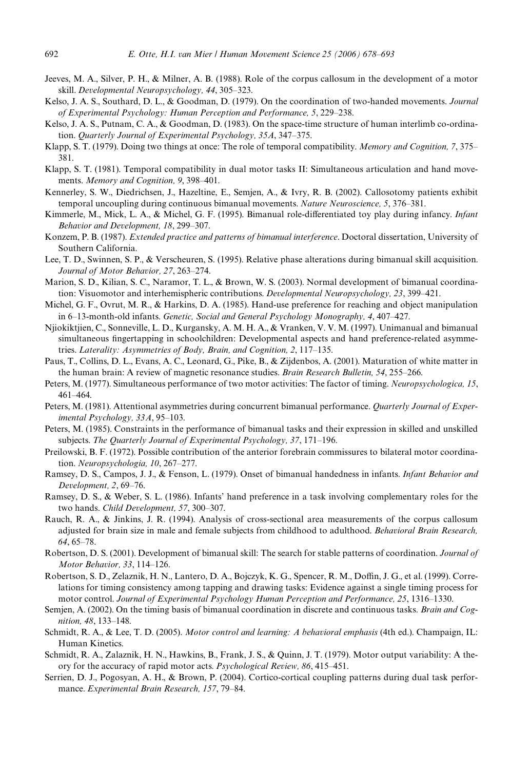- Jeeves, M. A., Silver, P. H., & Milner, A. B. (1988). Role of the corpus callosum in the development of a motor skill. *Developmental Neuropsychology, 44*, 305–323.
- Kelso, J. A. S., Southard, D. L., & Goodman, D. (1979). On the coordination of two-handed movements. *Journal of Experimental Psychology: Human Perception and Performance, 5*, 229–238.
- <span id="page-15-2"></span>Kelso, J. A. S., Putnam, C. A., & Goodman, D. (1983). On the space-time structure of human interlimb co-ordination. *Quarterly Journal of Experimental Psychology, 35A*, 347–375.
- <span id="page-15-3"></span>Klapp, S. T. (1979). Doing two things at once: The role of temporal compatibility. *Memory and Cognition, 7*, 375– 381.
- <span id="page-15-4"></span>Klapp, S. T. (1981). Temporal compatibility in dual motor tasks II: Simultaneous articulation and hand movements. *Memory and Cognition, 9*, 398–401.
- <span id="page-15-11"></span>Kennerley, S. W., Diedrichsen, J., Hazeltine, E., Semjen, A., & Ivry, R. B. (2002). Callosotomy patients exhibit temporal uncoupling during continuous bimanual movements. *Nature Neuroscience, 5*, 376–381.
- <span id="page-15-0"></span>Kimmerle, M., Mick, L. A., & Michel, G. F. (1995). Bimanual role-differentiated toy play during infancy. *Infant Behavior and Development, 18*, 299–307.
- Konzem, P. B. (1987). *Extended practice and patterns of bimanual interference*. Doctoral dissertation, University of Southern California.
- <span id="page-15-1"></span>Lee, T. D., Swinnen, S. P., & Verscheuren, S. (1995). Relative phase alterations during bimanual skill acquisition. *Journal of Motor Behavior, 27*, 263–274.
- Marion, S. D., Kilian, S. C., Naramor, T. L., & Brown, W. S. (2003). Normal development of bimanual coordination: Visuomotor and interhemispheric contributions. *Developmental Neuropsychology, 23*, 399–421.
- Michel, G. F., Ovrut, M. R., & Harkins, D. A. (1985). Hand-use preference for reaching and object manipulation in 6–13-month-old infants. *Genetic, Social and General Psychology Monography, 4*, 407–427.
- <span id="page-15-8"></span>Njiokiktjien, C., Sonneville, L. D., Kurgansky, A. M. H. A., & Vranken, V. V. M. (1997). Unimanual and bimanual simultaneous fingertapping in schoolchildren: Developmental aspects and hand preference-related asymmetries. *Laterality: Asymmetries of Body, Brain, and Cognition, 2*, 117–135.
- Paus, T., Collins, D. L., Evans, A. C., Leonard, G., Pike, B., & Zijdenbos, A. (2001). Maturation of white matter in the human brain: A review of magnetic resonance studies. *Brain Research Bulletin, 54*, 255–266.
- <span id="page-15-5"></span>Peters, M. (1977). Simultaneous performance of two motor activities: The factor of timing. *Neuropsychologica, 15*, 461–464.
- Peters, M. (1981). Attentional asymmetries during concurrent bimanual performance. *Quarterly Journal of Experimental Psychology, 33A*, 95–103.
- Peters, M. (1985). Constraints in the performance of bimanual tasks and their expression in skilled and unskilled subjects. *The Quarterly Journal of Experimental Psychology, 37*, 171–196.
- <span id="page-15-12"></span>Preilowski, B. F. (1972). Possible contribution of the anterior forebrain commissures to bilateral motor coordination. *Neuropsychologia, 10*, 267–277.
- Ramsey, D. S., Campos, J. J., & Fenson, L. (1979). Onset of bimanual handedness in infants. *Infant Behavior and Development, 2*, 69–76.
- Ramsey, D. S., & Weber, S. L. (1986). Infants' hand preference in a task involving complementary roles for the two hands. *Child Development, 57*, 300–307.
- Rauch, R. A., & Jinkins, J. R. (1994). Analysis of cross-sectional area measurements of the corpus callosum adjusted for brain size in male and female subjects from childhood to adulthood. *Behavioral Brain Research, 64*, 65–78.
- Robertson, D. S. (2001). Development of bimanual skill: The search for stable patterns of coordination. *Journal of Motor Behavior, 33*, 114–126.
- <span id="page-15-9"></span>Robertson, S. D., Zelaznik, H. N., Lantero, D. A., Bojczyk, K. G., Spencer, R. M., Doffin, J. G., et al. (1999). Correlations for timing consistency among tapping and drawing tasks: Evidence against a single timing process for motor control. *Journal of Experimental Psychology Human Perception and Performance, 25*, 1316–1330.
- <span id="page-15-10"></span>Semjen, A. (2002). On the timing basis of bimanual coordination in discrete and continuous tasks. *Brain and Cognition, 48*, 133–148.
- <span id="page-15-6"></span>Schmidt, R. A., & Lee, T. D. (2005). *Motor control and learning: A behavioral emphasis* (4th ed.). Champaign, IL: Human Kinetics.
- <span id="page-15-7"></span>Schmidt, R. A., Zalaznik, H. N., Hawkins, B., Frank, J. S., & Quinn, J. T. (1979). Motor output variability: A theory for the accuracy of rapid motor acts. *Psychological Review, 86*, 415–451.
- Serrien, D. J., Pogosyan, A. H., & Brown, P. (2004). Cortico-cortical coupling patterns during dual task performance. *Experimental Brain Research, 157*, 79–84.